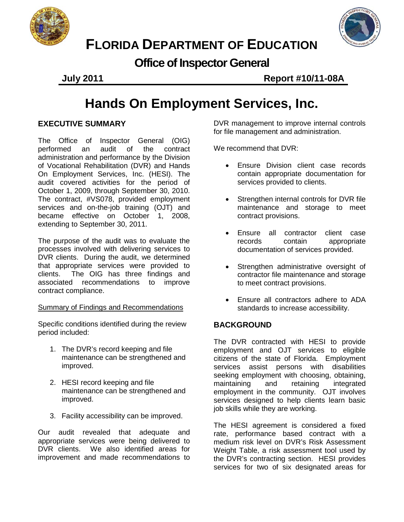



# **FLORIDA DEPARTMENT OF EDUCATION**

**Office of Inspector General**

**July 2011 Report #10/11-08A**

# **Hands On Employment Services, Inc.**

# **EXECUTIVE SUMMARY**

The Office of Inspector General (OIG) performed an audit of the contract administration and performance by the Division of Vocational Rehabilitation (DVR) and Hands On Employment Services, Inc. (HESI). The audit covered activities for the period of October 1, 2009, through September 30, 2010. The contract, #VS078, provided employment services and on-the-job training (OJT) and became effective on October 1, 2008, extending to September 30, 2011.

The purpose of the audit was to evaluate the processes involved with delivering services to DVR clients. During the audit, we determined that appropriate services were provided to clients.The OIG has three findings and recommendations to improve contract compliance.

# Summary of Findings and Recommendations

Specific conditions identified during the review period included:

- 1. The DVR's record keeping and file maintenance can be strengthened and improved.
- 2. HESI record keeping and file maintenance can be strengthened and improved.
- 3. Facility accessibility can be improved.

Our audit revealed that adequate and appropriate services were being delivered to DVR clients. We also identified areas for improvement and made recommendations to

DVR management to improve internal controls for file management and administration.

We recommend that DVR:

- Ensure Division client case records contain appropriate documentation for services provided to clients.
- Strengthen internal controls for DVR file maintenance and storage to meet contract provisions.
- Ensure all contractor client case records contain appropriate documentation of services provided.
- Strengthen administrative oversight of contractor file maintenance and storage to meet contract provisions.
- Ensure all contractors adhere to ADA standards to increase accessibility.

# **BACKGROUND**

The DVR contracted with HESI to provide employment and OJT services to eligible citizens of the state of Florida. Employment services assist persons with disabilities seeking employment with choosing, obtaining, maintaining and retaining integrated employment in the community. OJT involves services designed to help clients learn basic job skills while they are working.

The HESI agreement is considered a fixed rate, performance based contract with a medium risk level on DVR's Risk Assessment Weight Table, a risk assessment tool used by the DVR's contracting section. HESI provides services for two of six designated areas for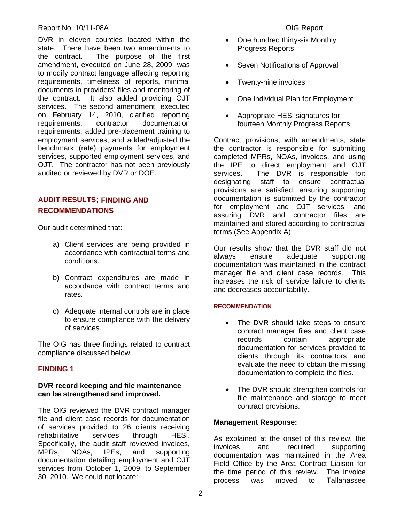#### Report No. 10/11-08A **DIG Report** No. 10/11-08A

DVR in eleven counties located within the state. There have been two amendments to the contract. The purpose of the first amendment, executed on June 28, 2009, was to modify contract language affecting reporting requirements, timeliness of reports, minimal documents in providers' files and monitoring of the contract. It also added providing OJT services. The second amendment, executed on February 14, 2010, clarified reporting<br>requirements, contractor documentation documentation requirements, added pre-placement training to employment services, and added/adjusted the benchmark (rate) payments for employment services, supported employment services, and OJT. The contractor has not been previously audited or reviewed by DVR or DOE.

# **AUDIT RESULTS: FINDING AND RECOMMENDATIONS**

Our audit determined that:

- a) Client services are being provided in accordance with contractual terms and conditions.
- b) Contract expenditures are made in accordance with contract terms and rates.
- c) Adequate internal controls are in place to ensure compliance with the delivery of services.

The OIG has three findings related to contract compliance discussed below.

# **FINDING 1**

#### **DVR record keeping and file maintenance can be strengthened and improved.**

The OIG reviewed the DVR contract manager file and client case records for documentation of services provided to 26 clients receiving rehabilitative services through HESI. Specifically, the audit staff reviewed invoices, MPRs, NOAs, IPEs, and supporting documentation detailing employment and OJT services from October 1, 2009, to September 30, 2010. We could not locate:

- One hundred thirty-six Monthly Progress Reports
- Seven Notifications of Approval
- Twenty-nine invoices
- One Individual Plan for Employment
- Appropriate HESI signatures for fourteen Monthly Progress Reports

Contract provisions, with amendments, state the contractor is responsible for submitting completed MPRs, NOAs, invoices, and using the IPE to direct employment and OJT services. The DVR is responsible for: designating staff to ensure contractual provisions are satisfied; ensuring supporting documentation is submitted by the contractor for employment and OJT services; and assuring DVR and contractor files are maintained and stored according to contractual terms (See Appendix A).

Our results show that the DVR staff did not always ensure adequate supporting documentation was maintained in the contract manager file and client case records. This increases the risk of service failure to clients and decreases accountability.

#### **RECOMMENDATION**

- The DVR should take steps to ensure contract manager files and client case records contain appropriate documentation for services provided to clients through its contractors and evaluate the need to obtain the missing documentation to complete the files.
- The DVR should strengthen controls for file maintenance and storage to meet contract provisions.

#### **Management Response:**

As explained at the onset of this review, the invoices and required supporting supporting documentation was maintained in the Area Field Office by the Area Contract Liaison for the time period of this review. The invoice process was moved to Tallahassee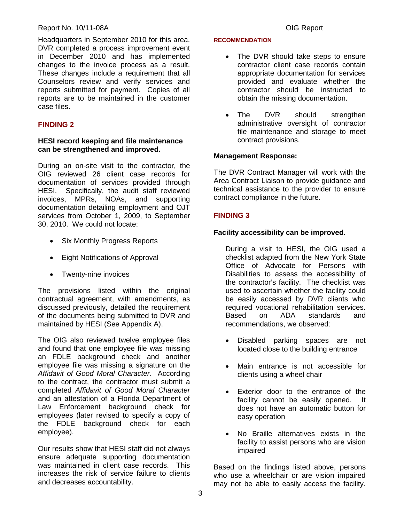#### Report No. 10/11-08A **DIG Report** No. 10/11-08A

Headquarters in September 2010 for this area. DVR completed a process improvement event in December 2010 and has implemented changes to the invoice process as a result. These changes include a requirement that all Counselors review and verify services and reports submitted for payment. Copies of all reports are to be maintained in the customer case files.

### **FINDING 2**

#### **HESI record keeping and file maintenance can be strengthened and improved.**

During an on-site visit to the contractor, the OIG reviewed 26 client case records for documentation of services provided through HESI. Specifically, the audit staff reviewed invoices, MPRs, NOAs, and supporting documentation detailing employment and OJT services from October 1, 2009, to September 30, 2010. We could not locate:

- Six Monthly Progress Reports
- Eight Notifications of Approval
- Twenty-nine invoices

The provisions listed within the original contractual agreement, with amendments, as discussed previously, detailed the requirement of the documents being submitted to DVR and maintained by HESI (See Appendix A).

The OIG also reviewed twelve employee files and found that one employee file was missing an FDLE background check and another employee file was missing a signature on the *Affidavit of Good Moral Character*. According to the contract, the contractor must submit a completed *Affidavit of Good Moral Character* and an attestation of a Florida Department of Law Enforcement background check for employees (later revised to specify a copy of the FDLE background check for each employee).

Our results show that HESI staff did not always ensure adequate supporting documentation was maintained in client case records. This increases the risk of service failure to clients and decreases accountability.

#### **RECOMMENDATION**

- The DVR should take steps to ensure contractor client case records contain appropriate documentation for services provided and evaluate whether the contractor should be instructed to obtain the missing documentation.
- The DVR should strengthen administrative oversight of contractor file maintenance and storage to meet contract provisions.

#### **Management Response:**

The DVR Contract Manager will work with the Area Contract Liaison to provide guidance and technical assistance to the provider to ensure contract compliance in the future.

#### **FINDING 3**

#### **Facility accessibility can be improved.**

During a visit to HESI, the OIG used a checklist adapted from the New York State Office of Advocate for Persons with Disabilities to assess the accessibility of the contractor's facility. The checklist was used to ascertain whether the facility could be easily accessed by DVR clients who required vocational rehabilitation services.<br>Based on ADA standards and on ADA standards and recommendations, we observed:

- Disabled parking spaces are not located close to the building entrance
- Main entrance is not accessible for clients using a wheel chair
- Exterior door to the entrance of the facility cannot be easily opened. It does not have an automatic button for easy operation
- No Braille alternatives exists in the facility to assist persons who are vision impaired

Based on the findings listed above, persons who use a wheelchair or are vision impaired may not be able to easily access the facility.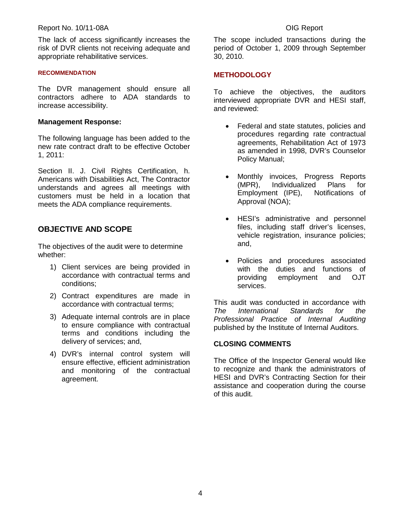#### Report No. 10/11-08A **DIG Report** No. 10/11-08A

The lack of access significantly increases the risk of DVR clients not receiving adequate and appropriate rehabilitative services.

#### **RECOMMENDATION**

The DVR management should ensure all contractors adhere to ADA standards to increase accessibility.

#### **Management Response:**

The following language has been added to the new rate contract draft to be effective October 1, 2011:

Section II. J. Civil Rights Certification, h. Americans with Disabilities Act, The Contractor understands and agrees all meetings with customers must be held in a location that meets the ADA compliance requirements.

### **OBJECTIVE AND SCOPE**

The objectives of the audit were to determine whether:

- 1) Client services are being provided in accordance with contractual terms and conditions;
- 2) Contract expenditures are made in accordance with contractual terms;
- 3) Adequate internal controls are in place to ensure compliance with contractual terms and conditions including the delivery of services; and,
- 4) DVR's internal control system will ensure effective, efficient administration and monitoring of the contractual agreement.

The scope included transactions during the period of October 1, 2009 through September 30, 2010.

#### **METHODOLOGY**

To achieve the objectives, the auditors interviewed appropriate DVR and HESI staff, and reviewed:

- Federal and state statutes, policies and procedures regarding rate contractual agreements, Rehabilitation Act of 1973 as amended in 1998, DVR's Counselor Policy Manual;
- Monthly invoices, Progress Reports (MPR), Individualized Plans for Employment (IPE), Notifications of Approval (NOA);
- HESI's administrative and personnel files, including staff driver's licenses, vehicle registration, insurance policies; and,
- Policies and procedures associated with the duties and functions of providing employment and OJT services.

This audit was conducted in accordance with *The International Standards for the Professional Practice of Internal Auditing*  published by the Institute of Internal Auditors.

#### **CLOSING COMMENTS**

The Office of the Inspector General would like to recognize and thank the administrators of HESI and DVR's Contracting Section for their assistance and cooperation during the course of this audit.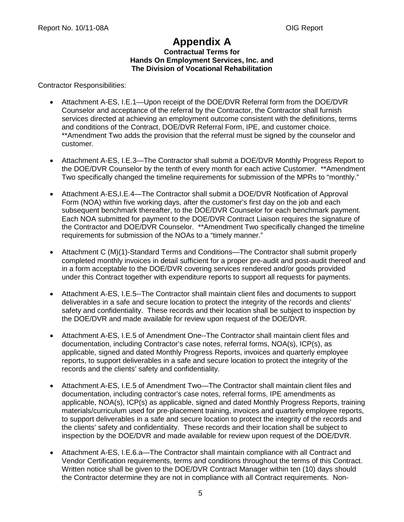# **Appendix A**

#### **Contractual Terms for Hands On Employment Services, Inc. and The Division of Vocational Rehabilitation**

Contractor Responsibilities:

- Attachment A-ES, I.E.1—Upon receipt of the DOE/DVR Referral form from the DOE/DVR Counselor and acceptance of the referral by the Contractor, the Contractor shall furnish services directed at achieving an employment outcome consistent with the definitions, terms and conditions of the Contract, DOE/DVR Referral Form, IPE, and customer choice. \*\*Amendment Two adds the provision that the referral must be signed by the counselor and customer.
- Attachment A-ES, I.E.3—The Contractor shall submit a DOE/DVR Monthly Progress Report to the DOE/DVR Counselor by the tenth of every month for each active Customer. \*\*Amendment Two specifically changed the timeline requirements for submission of the MPRs to "monthly."
- Attachment A-ES, I.E.4—The Contractor shall submit a DOE/DVR Notification of Approval Form (NOA) within five working days, after the customer's first day on the job and each subsequent benchmark thereafter, to the DOE/DVR Counselor for each benchmark payment. Each NOA submitted for payment to the DOE/DVR Contract Liaison requires the signature of the Contractor and DOE/DVR Counselor. \*\*Amendment Two specifically changed the timeline requirements for submission of the NOAs to a "timely manner."
- Attachment C (M)(1)-Standard Terms and Conditions—The Contractor shall submit properly completed monthly invoices in detail sufficient for a proper pre-audit and post-audit thereof and in a form acceptable to the DOE/DVR covering services rendered and/or goods provided under this Contract together with expenditure reports to support all requests for payments.
- Attachment A-ES, I.E.5--The Contractor shall maintain client files and documents to support deliverables in a safe and secure location to protect the integrity of the records and clients' safety and confidentiality. These records and their location shall be subject to inspection by the DOE/DVR and made available for review upon request of the DOE/DVR.
- Attachment A-ES, I.E.5 of Amendment One--The Contractor shall maintain client files and documentation, including Contractor's case notes, referral forms, NOA(s), ICP(s), as applicable, signed and dated Monthly Progress Reports, invoices and quarterly employee reports, to support deliverables in a safe and secure location to protect the integrity of the records and the clients' safety and confidentiality.
- Attachment A-ES, I.E.5 of Amendment Two—The Contractor shall maintain client files and documentation, including contractor's case notes, referral forms, IPE amendments as applicable, NOA(s), ICP(s) as applicable, signed and dated Monthly Progress Reports, training materials/curriculum used for pre-placement training, invoices and quarterly employee reports, to support deliverables in a safe and secure location to protect the integrity of the records and the clients' safety and confidentiality. These records and their location shall be subject to inspection by the DOE/DVR and made available for review upon request of the DOE/DVR.
- Attachment A-ES, I.E.6.a—The Contractor shall maintain compliance with all Contract and Vendor Certification requirements, terms and conditions throughout the terms of this Contract. Written notice shall be given to the DOE/DVR Contract Manager within ten (10) days should the Contractor determine they are not in compliance with all Contract requirements. Non-